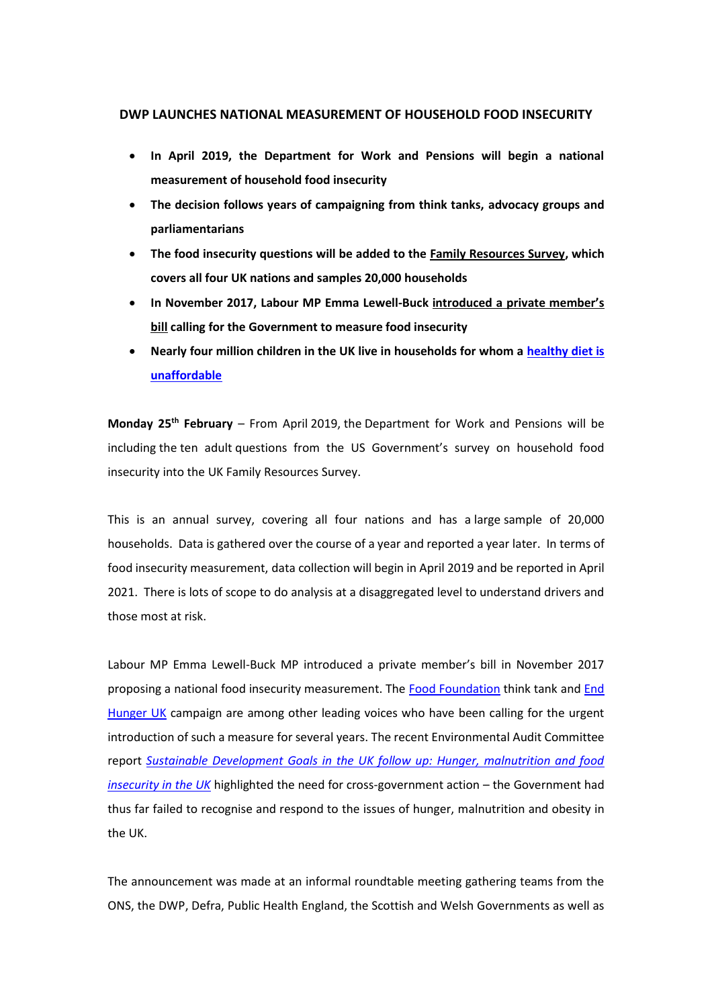## **DWP LAUNCHES NATIONAL MEASUREMENT OF HOUSEHOLD FOOD INSECURITY**

- **In April 2019, the Department for Work and Pensions will begin a national measurement of household food insecurity**
- **The decision follows years of campaigning from think tanks, advocacy groups and parliamentarians**
- **The food insecurity questions will be added to the [Family Resources Survey,](https://www.gov.uk/government/collections/family-resources-survey--2) which covers all four UK nations and samples 20,000 households**
- **In November 2017, Labour MP Emma Lewell-Buck introduced a p[rivate member's](http://endhungeruk.org/measure/)  [bill](http://endhungeruk.org/measure/) calling for the Government to measure food insecurity**
- **Nearly four million children in the UK live in households for whom a [healthy diet is](https://foodfoundation.org.uk/wp-content/uploads/2018/10/Affordability-of-the-Eatwell-Guide_Final_Web-Version.pdf)  [unaffordable](https://foodfoundation.org.uk/wp-content/uploads/2018/10/Affordability-of-the-Eatwell-Guide_Final_Web-Version.pdf)**

**Monday 25th February** – From April 2019, the Department for Work and Pensions will be including the ten adult questions from the US Government's survey on household food insecurity into the UK Family Resources Survey.

This is an annual survey, covering all four nations and has a large sample of 20,000 households. Data is gathered over the course of a year and reported a year later. In terms of food insecurity measurement, data collection will begin in April 2019 and be reported in April 2021. There is lots of scope to do analysis at a disaggregated level to understand drivers and those most at risk.

Labour MP Emma Lewell-Buck MP introduced a private member's bill in November 2017 proposing a national food insecurity measurement. The [Food Foundation](https://foodfoundation.org.uk/) think tank and [End](http://endhungeruk.org/)  [Hunger UK](http://endhungeruk.org/) campaign are among other leading voices who have been calling for the urgent introduction of such a measure for several years. The recent Environmental Audit Committee report *[Sustainable Development Goals in the UK follow up: Hunger, malnutrition and food](https://publications.parliament.uk/pa/cm201719/cmselect/cmenvaud/1491/149102.htm)  [insecurity in the UK](https://publications.parliament.uk/pa/cm201719/cmselect/cmenvaud/1491/149102.htm)* highlighted the need for cross-government action – the Government had thus far failed to recognise and respond to the issues of hunger, malnutrition and obesity in the UK.

The announcement was made at an informal roundtable meeting gathering teams from the ONS, the DWP, Defra, Public Health England, the Scottish and Welsh Governments as well as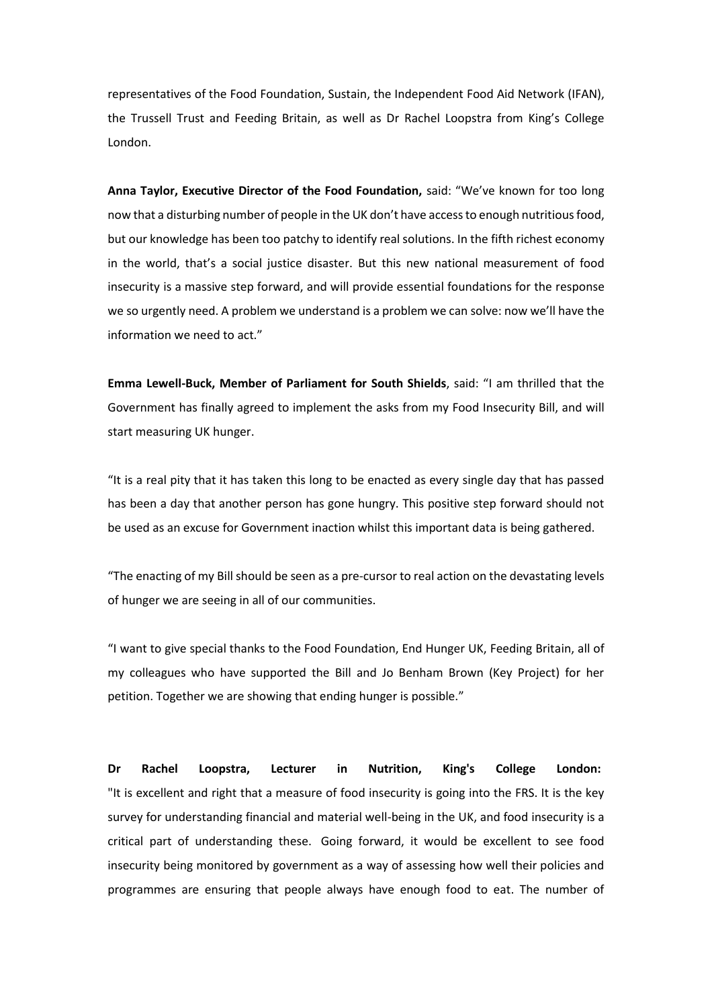representatives of the Food Foundation, Sustain, the Independent Food Aid Network (IFAN), the Trussell Trust and Feeding Britain, as well as Dr Rachel Loopstra from King's College London.

**Anna Taylor, Executive Director of the Food Foundation,** said: "We've known for too long now that a disturbing number of people in the UK don't have access to enough nutritious food, but our knowledge has been too patchy to identify real solutions. In the fifth richest economy in the world, that's a social justice disaster. But this new national measurement of food insecurity is a massive step forward, and will provide essential foundations for the response we so urgently need. A problem we understand is a problem we can solve: now we'll have the information we need to act."

**Emma Lewell-Buck, Member of Parliament for South Shields**, said: "I am thrilled that the Government has finally agreed to implement the asks from my Food Insecurity Bill, and will start measuring UK hunger.

"It is a real pity that it has taken this long to be enacted as every single day that has passed has been a day that another person has gone hungry. This positive step forward should not be used as an excuse for Government inaction whilst this important data is being gathered.

"The enacting of my Bill should be seen as a pre-cursor to real action on the devastating levels of hunger we are seeing in all of our communities.

"I want to give special thanks to the Food Foundation, End Hunger UK, Feeding Britain, all of my colleagues who have supported the Bill and Jo Benham Brown (Key Project) for her petition. Together we are showing that ending hunger is possible."

**Dr Rachel Loopstra, Lecturer in Nutrition, King's College London:** "It is excellent and right that a measure of food insecurity is going into the FRS. It is the key survey for understanding financial and material well-being in the UK, and food insecurity is a critical part of understanding these. Going forward, it would be excellent to see food insecurity being monitored by government as a way of assessing how well their policies and programmes are ensuring that people always have enough food to eat. The number of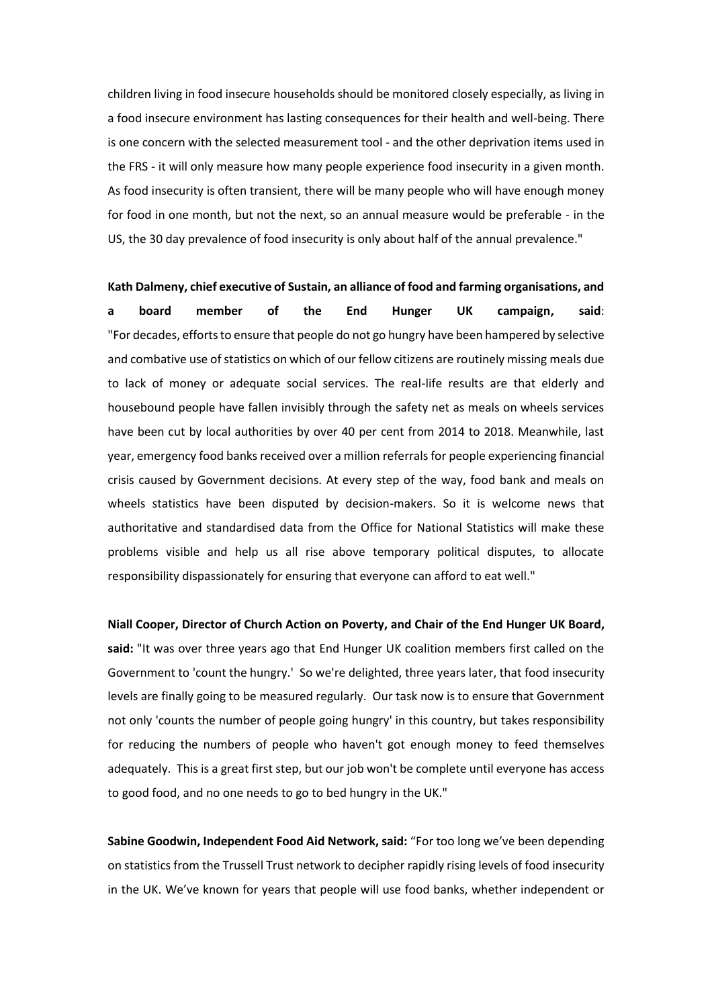children living in food insecure households should be monitored closely especially, as living in a food insecure environment has lasting consequences for their health and well-being. There is one concern with the selected measurement tool - and the other deprivation items used in the FRS - it will only measure how many people experience food insecurity in a given month. As food insecurity is often transient, there will be many people who will have enough money for food in one month, but not the next, so an annual measure would be preferable - in the US, the 30 day prevalence of food insecurity is only about half of the annual prevalence."

**Kath Dalmeny, chief executive of Sustain, an alliance of food and farming organisations, and a board member of the End Hunger UK campaign, said**: "For decades, efforts to ensure that people do not go hungry have been hampered by selective and combative use of statistics on which of our fellow citizens are routinely missing meals due to lack of money or adequate social services. The real-life results are that elderly and housebound people have fallen invisibly through the safety net as meals on wheels services have been cut by local authorities by over 40 per cent from 2014 to 2018. Meanwhile, last year, emergency food banks received over a million referrals for people experiencing financial crisis caused by Government decisions. At every step of the way, food bank and meals on wheels statistics have been disputed by decision-makers. So it is welcome news that authoritative and standardised data from the Office for National Statistics will make these problems visible and help us all rise above temporary political disputes, to allocate responsibility dispassionately for ensuring that everyone can afford to eat well."

**Niall Cooper, Director of Church Action on Poverty, and Chair of the End Hunger UK Board, said:** "It was over three years ago that End Hunger UK coalition members first called on the Government to 'count the hungry.' So we're delighted, three years later, that food insecurity levels are finally going to be measured regularly. Our task now is to ensure that Government not only 'counts the number of people going hungry' in this country, but takes responsibility for reducing the numbers of people who haven't got enough money to feed themselves adequately. This is a great first step, but our job won't be complete until everyone has access to good food, and no one needs to go to bed hungry in the UK."

**Sabine Goodwin, Independent Food Aid Network, said:** "For too long we've been depending on statistics from the Trussell Trust network to decipher rapidly rising levels of food insecurity in the UK. We've known for years that people will use food banks, whether independent or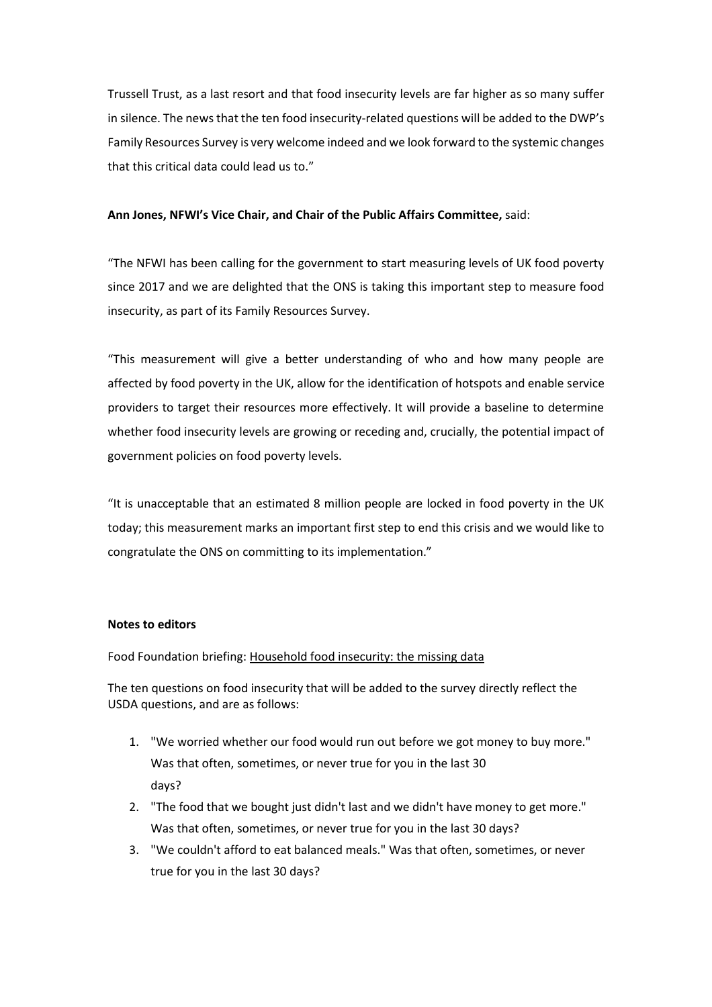Trussell Trust, as a last resort and that food insecurity levels are far higher as so many suffer in silence. The news that the ten food insecurity-related questions will be added to the DWP's Family Resources Survey is very welcome indeed and we look forward to the systemic changes that this critical data could lead us to."

## **Ann Jones, NFWI's Vice Chair, and Chair of the Public Affairs Committee,** said:

"The NFWI has been calling for the government to start measuring levels of UK food poverty since 2017 and we are delighted that the ONS is taking this important step to measure food insecurity, as part of its Family Resources Survey.

"This measurement will give a better understanding of who and how many people are affected by food poverty in the UK, allow for the identification of hotspots and enable service providers to target their resources more effectively. It will provide a baseline to determine whether food insecurity levels are growing or receding and, crucially, the potential impact of government policies on food poverty levels.

"It is unacceptable that an estimated 8 million people are locked in food poverty in the UK today; this measurement marks an important first step to end this crisis and we would like to congratulate the ONS on committing to its implementation."

## **Notes to editors**

Food Foundation briefing[: Household food insecurity: the missing data](https://foodfoundation.org.uk/wp-content/uploads/2016/11/FF-Food-insecurity-4pp-V3.pdf)

The ten questions on food insecurity that will be added to the survey directly reflect the USDA questions, and are as follows:

- 1. "We worried whether our food would run out before we got money to buy more." Was that often, sometimes, or never true for you in the last 30 days?
- 2. "The food that we bought just didn't last and we didn't have money to get more." Was that often, sometimes, or never true for you in the last 30 days?
- 3. "We couldn't afford to eat balanced meals." Was that often, sometimes, or never true for you in the last 30 days?